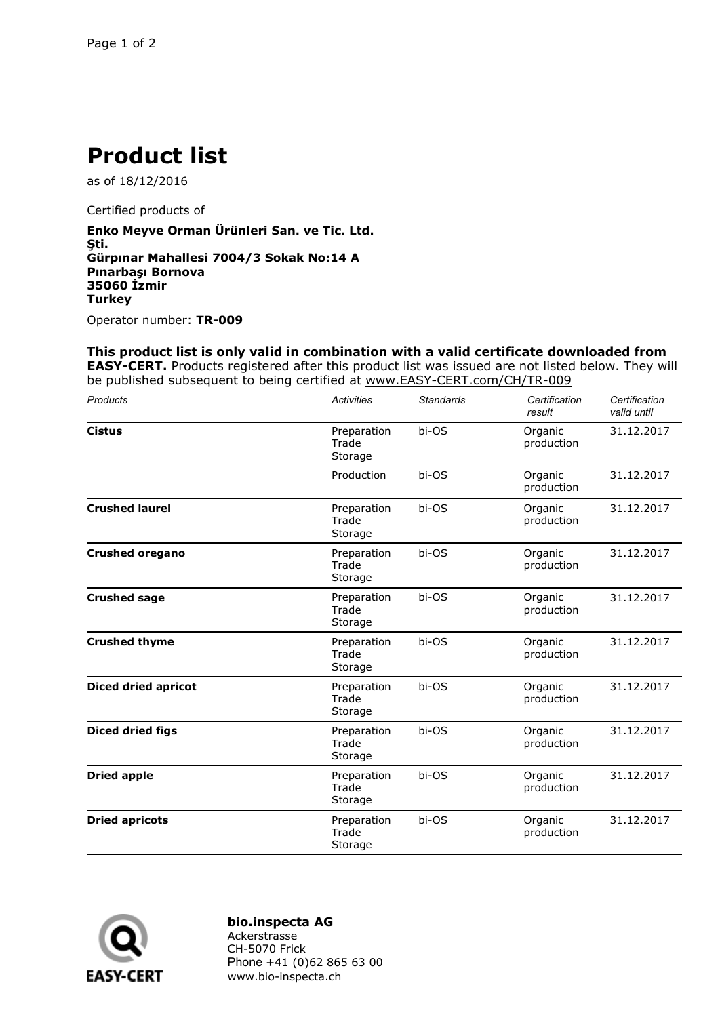## **Product list**

as of 18/12/2016

Certified products of

**Enko Meyve Orman Ürünleri San. ve Tic. Ltd. Şti. Gürpınar Mahallesi 7004/3 Sokak No:14 A Pınarbaşı Bornova 35060 İzmir Turkey**

Operator number: **TR-009**

**This product list is only valid in combination with a valid certificate downloaded from EASY-CERT.** Products registered after this product list was issued are not listed below. They will be published subsequent to being certified at www.EASY-CERT.com/CH/TR-009

| Products                   | <b>Activities</b>               | <b>Standards</b> | Certification<br>result | Certification<br>valid until |
|----------------------------|---------------------------------|------------------|-------------------------|------------------------------|
| <b>Cistus</b>              | Preparation<br>Trade<br>Storage | bi-OS            | Organic<br>production   | 31.12.2017                   |
|                            | Production                      | bi-OS            | Organic<br>production   | 31.12.2017                   |
| <b>Crushed laurel</b>      | Preparation<br>Trade<br>Storage | bi-OS            | Organic<br>production   | 31.12.2017                   |
| <b>Crushed oregano</b>     | Preparation<br>Trade<br>Storage | bi-OS            | Organic<br>production   | 31.12.2017                   |
| <b>Crushed sage</b>        | Preparation<br>Trade<br>Storage | bi-OS            | Organic<br>production   | 31.12.2017                   |
| <b>Crushed thyme</b>       | Preparation<br>Trade<br>Storage | bi-OS            | Organic<br>production   | 31.12.2017                   |
| <b>Diced dried apricot</b> | Preparation<br>Trade<br>Storage | bi-OS            | Organic<br>production   | 31.12.2017                   |
| <b>Diced dried figs</b>    | Preparation<br>Trade<br>Storage | bi-OS            | Organic<br>production   | 31.12.2017                   |
| <b>Dried apple</b>         | Preparation<br>Trade<br>Storage | bi-OS            | Organic<br>production   | 31.12.2017                   |
| <b>Dried apricots</b>      | Preparation<br>Trade<br>Storage | bi-OS            | Organic<br>production   | 31.12.2017                   |



**bio.inspecta AG**

Ackerstrasse CH-5070 Frick Phone +41 (0)62 865 63 00 www.bio-inspecta.ch